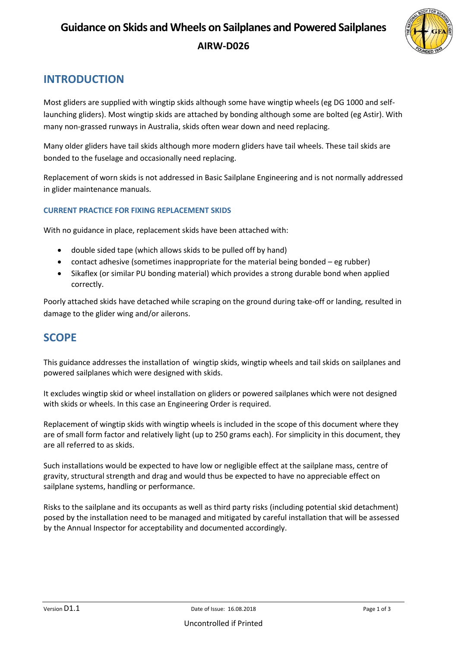# **Guidance on Skids and Wheels on Sailplanes and Powered Sailplanes** **AIRW-D026**



### **INTRODUCTION**

Most gliders are supplied with wingtip skids although some have wingtip wheels (eg DG 1000 and selflaunching gliders). Most wingtip skids are attached by bonding although some are bolted (eg Astir). With many non-grassed runways in Australia, skids often wear down and need replacing.

Many older gliders have tail skids although more modern gliders have tail wheels. These tail skids are bonded to the fuselage and occasionally need replacing.

Replacement of worn skids is not addressed in Basic Sailplane Engineering and is not normally addressed in glider maintenance manuals.

#### **CURRENT PRACTICE FOR FIXING REPLACEMENT SKIDS**

With no guidance in place, replacement skids have been attached with:

- double sided tape (which allows skids to be pulled off by hand)
- contact adhesive (sometimes inappropriate for the material being bonded eg rubber)
- Sikaflex (or similar PU bonding material) which provides a strong durable bond when applied correctly.

Poorly attached skids have detached while scraping on the ground during take-off or landing, resulted in damage to the glider wing and/or ailerons.

#### **SCOPE**

This guidance addresses the installation of wingtip skids, wingtip wheels and tail skids on sailplanes and powered sailplanes which were designed with skids.

It excludes wingtip skid or wheel installation on gliders or powered sailplanes which were not designed with skids or wheels. In this case an Engineering Order is required.

Replacement of wingtip skids with wingtip wheels is included in the scope of this document where they are of small form factor and relatively light (up to 250 grams each). For simplicity in this document, they are all referred to as skids.

Such installations would be expected to have low or negligible effect at the sailplane mass, centre of gravity, structural strength and drag and would thus be expected to have no appreciable effect on sailplane systems, handling or performance.

Risks to the sailplane and its occupants as well as third party risks (including potential skid detachment) posed by the installation need to be managed and mitigated by careful installation that will be assessed by the Annual Inspector for acceptability and documented accordingly.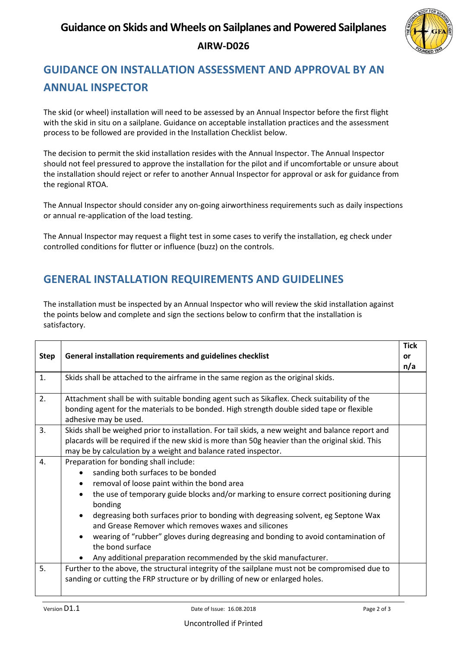## **Guidance on Skids and Wheels on Sailplanes and Powered Sailplanes** **AIRW-D026**



# **GUIDANCE ON INSTALLATION ASSESSMENT AND APPROVAL BY AN ANNUAL INSPECTOR**

The skid (or wheel) installation will need to be assessed by an Annual Inspector before the first flight with the skid in situ on a sailplane. Guidance on acceptable installation practices and the assessment process to be followed are provided in the Installation Checklist below.

The decision to permit the skid installation resides with the Annual Inspector. The Annual Inspector should not feel pressured to approve the installation for the pilot and if uncomfortable or unsure about the installation should reject or refer to another Annual Inspector for approval or ask for guidance from the regional RTOA.

The Annual Inspector should consider any on-going airworthiness requirements such as daily inspections or annual re-application of the load testing.

The Annual Inspector may request a flight test in some cases to verify the installation, eg check under controlled conditions for flutter or influence (buzz) on the controls.

### **GENERAL INSTALLATION REQUIREMENTS AND GUIDELINES**

The installation must be inspected by an Annual Inspector who will review the skid installation against the points below and complete and sign the sections below to confirm that the installation is satisfactory.

| <b>Step</b> | General installation requirements and guidelines checklist                                                                                                                                                                                                                                                                                                                                                                                                                                                                                                 | <b>Tick</b><br>or<br>n/a |
|-------------|------------------------------------------------------------------------------------------------------------------------------------------------------------------------------------------------------------------------------------------------------------------------------------------------------------------------------------------------------------------------------------------------------------------------------------------------------------------------------------------------------------------------------------------------------------|--------------------------|
| 1.          | Skids shall be attached to the airframe in the same region as the original skids.                                                                                                                                                                                                                                                                                                                                                                                                                                                                          |                          |
| 2.          | Attachment shall be with suitable bonding agent such as Sikaflex. Check suitability of the<br>bonding agent for the materials to be bonded. High strength double sided tape or flexible<br>adhesive may be used.                                                                                                                                                                                                                                                                                                                                           |                          |
| 3.          | Skids shall be weighed prior to installation. For tail skids, a new weight and balance report and<br>placards will be required if the new skid is more than 50g heavier than the original skid. This<br>may be by calculation by a weight and balance rated inspector.                                                                                                                                                                                                                                                                                     |                          |
| 4.          | Preparation for bonding shall include:<br>sanding both surfaces to be bonded<br>removal of loose paint within the bond area<br>the use of temporary guide blocks and/or marking to ensure correct positioning during<br>bonding<br>degreasing both surfaces prior to bonding with degreasing solvent, eg Septone Wax<br>and Grease Remover which removes waxes and silicones<br>wearing of "rubber" gloves during degreasing and bonding to avoid contamination of<br>the bond surface<br>Any additional preparation recommended by the skid manufacturer. |                          |
| 5.          | Further to the above, the structural integrity of the sailplane must not be compromised due to<br>sanding or cutting the FRP structure or by drilling of new or enlarged holes.                                                                                                                                                                                                                                                                                                                                                                            |                          |